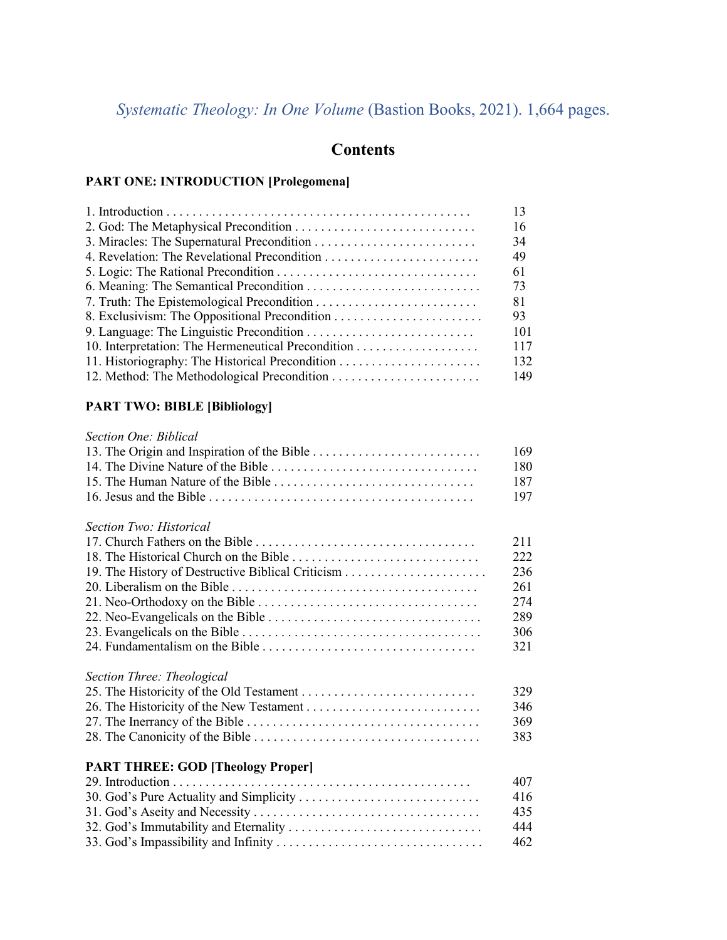# *Systematic Theology: In One Volume* (Bastion Books, 2021). 1,664 pages.

# **Contents**

#### **PART ONE: INTRODUCTION [Prolegomena]**

| 13  |
|-----|
| 16  |
| 34  |
| 49  |
| 61  |
| 73  |
| 81  |
| 93  |
| 101 |
| 117 |
| 132 |
| 149 |

### **PART TWO: BIBLE [Bibliology]**

#### *Section One: Biblical*

|                                          | 169 |
|------------------------------------------|-----|
|                                          | 180 |
|                                          | 187 |
|                                          | 197 |
|                                          |     |
| Section Two: Historical                  |     |
|                                          | 211 |
|                                          | 222 |
|                                          | 236 |
|                                          | 261 |
|                                          | 274 |
|                                          | 289 |
|                                          | 306 |
|                                          | 321 |
| Section Three: Theological               |     |
|                                          | 329 |
|                                          | 346 |
|                                          | 369 |
|                                          | 383 |
|                                          |     |
| <b>PART THREE: GOD [Theology Proper]</b> |     |
|                                          | 407 |
| 30. God's Pure Actuality and Simplicity  | 416 |
|                                          | 435 |
|                                          | 444 |
|                                          | 462 |
|                                          |     |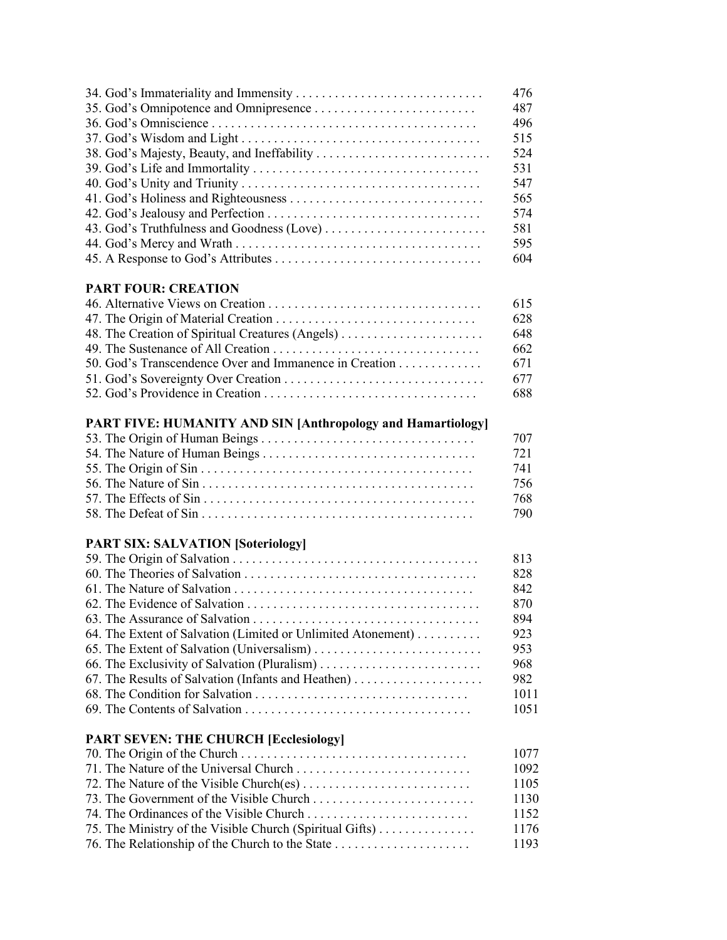|                                             | 476 |
|---------------------------------------------|-----|
|                                             | 487 |
|                                             | 496 |
|                                             | 515 |
| 38. God's Majesty, Beauty, and Ineffability | 524 |
|                                             | 531 |
|                                             | 547 |
|                                             | 565 |
|                                             | 574 |
|                                             | 581 |
|                                             | 595 |
|                                             | 604 |

#### **PART FOUR: CREATION**

|                                                  | 628   |
|--------------------------------------------------|-------|
| 48. The Creation of Spiritual Creatures (Angels) | -648  |
|                                                  | -662  |
|                                                  |       |
|                                                  |       |
|                                                  | - 688 |

### **PART FIVE: HUMANITY AND SIN [Anthropology and Hamartiology]**

|                                                                                                             | - 707 |
|-------------------------------------------------------------------------------------------------------------|-------|
|                                                                                                             | 721   |
|                                                                                                             | -741  |
| 56. The Nature of Sin $\dots \dots \dots \dots \dots \dots \dots \dots \dots \dots \dots \dots \dots \dots$ | -756  |
|                                                                                                             | -768  |
|                                                                                                             | -790  |

## **PART SIX: SALVATION [Soteriology]**

| 828                                                                 |      |
|---------------------------------------------------------------------|------|
| 842                                                                 |      |
| 870                                                                 |      |
| 894                                                                 |      |
| 64. The Extent of Salvation (Limited or Unlimited Atonement)<br>923 |      |
| 953<br>65. The Extent of Salvation (Universalism)                   |      |
| 968                                                                 |      |
|                                                                     | 982  |
|                                                                     | 1011 |
|                                                                     | 1051 |

### **PART SEVEN: THE CHURCH [Ecclesiology]**

|                                                          | 1077 |
|----------------------------------------------------------|------|
|                                                          | 1092 |
|                                                          | 1105 |
|                                                          | 1130 |
|                                                          | 1152 |
| 75. The Ministry of the Visible Church (Spiritual Gifts) | 1176 |
|                                                          | 1193 |